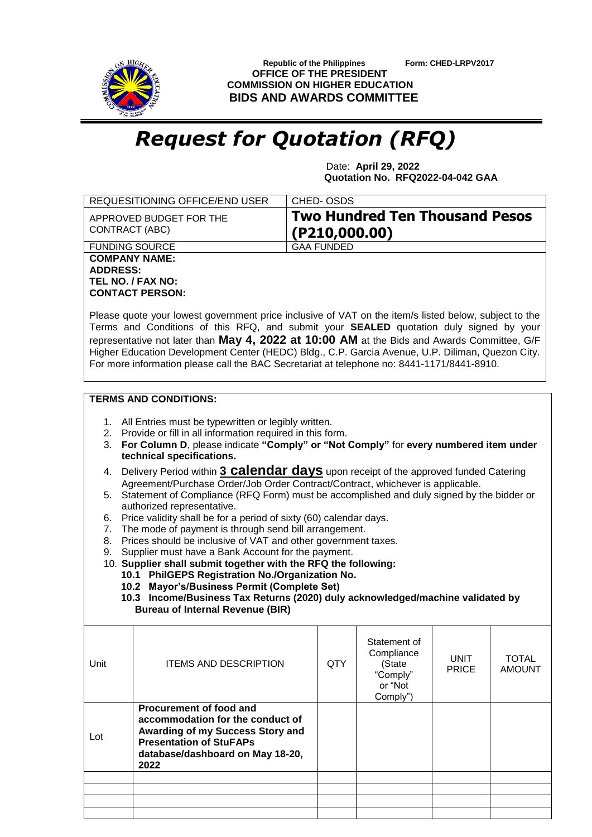

 **Republic of the Philippines Form: CHED-LRPV2017 OFFICE OF THE PRESIDENT COMMISSION ON HIGHER EDUCATION BIDS AND AWARDS COMMITTEE**

## *Request for Quotation (RFQ)*

 Date: **April 29, 2022 Quotation No. RFQ2022-04-042 GAA**

|                                                                                                                                                                                                                                                                                                                                                                                                                                                                                                                                                                                                                                                                                                                                                                                                                                                                                                                                                                                                                                                                                                                                                       | <b>REQUESITIONING OFFICE/END USER</b>                                                                                                                                         | CHED-OSDS         |                                                                         |                      |                               |  |  |  |  |
|-------------------------------------------------------------------------------------------------------------------------------------------------------------------------------------------------------------------------------------------------------------------------------------------------------------------------------------------------------------------------------------------------------------------------------------------------------------------------------------------------------------------------------------------------------------------------------------------------------------------------------------------------------------------------------------------------------------------------------------------------------------------------------------------------------------------------------------------------------------------------------------------------------------------------------------------------------------------------------------------------------------------------------------------------------------------------------------------------------------------------------------------------------|-------------------------------------------------------------------------------------------------------------------------------------------------------------------------------|-------------------|-------------------------------------------------------------------------|----------------------|-------------------------------|--|--|--|--|
| CONTRACT (ABC)                                                                                                                                                                                                                                                                                                                                                                                                                                                                                                                                                                                                                                                                                                                                                                                                                                                                                                                                                                                                                                                                                                                                        | APPROVED BUDGET FOR THE                                                                                                                                                       | ( P210, 000.00)   | <b>Two Hundred Ten Thousand Pesos</b>                                   |                      |                               |  |  |  |  |
|                                                                                                                                                                                                                                                                                                                                                                                                                                                                                                                                                                                                                                                                                                                                                                                                                                                                                                                                                                                                                                                                                                                                                       | <b>FUNDING SOURCE</b>                                                                                                                                                         | <b>GAA FUNDED</b> |                                                                         |                      |                               |  |  |  |  |
| <b>COMPANY NAME:</b><br><b>ADDRESS:</b><br>TEL NO. / FAX NO:<br><b>CONTACT PERSON:</b><br>Please quote your lowest government price inclusive of VAT on the item/s listed below, subject to the<br>Terms and Conditions of this RFQ, and submit your SEALED quotation duly signed by your<br>representative not later than May 4, 2022 at 10:00 AM at the Bids and Awards Committee, G/F<br>Higher Education Development Center (HEDC) Bldg., C.P. Garcia Avenue, U.P. Diliman, Quezon City.<br>For more information please call the BAC Secretariat at telephone no: 8441-1171/8441-8910.                                                                                                                                                                                                                                                                                                                                                                                                                                                                                                                                                            |                                                                                                                                                                               |                   |                                                                         |                      |                               |  |  |  |  |
| <b>TERMS AND CONDITIONS:</b>                                                                                                                                                                                                                                                                                                                                                                                                                                                                                                                                                                                                                                                                                                                                                                                                                                                                                                                                                                                                                                                                                                                          |                                                                                                                                                                               |                   |                                                                         |                      |                               |  |  |  |  |
| 1. All Entries must be typewritten or legibly written.<br>2. Provide or fill in all information required in this form.<br>For Column D, please indicate "Comply" or "Not Comply" for every numbered item under<br>3.<br>technical specifications.<br>Delivery Period within 3 <b>Calendar days</b> upon receipt of the approved funded Catering<br>4.<br>Agreement/Purchase Order/Job Order Contract/Contract, whichever is applicable.<br>Statement of Compliance (RFQ Form) must be accomplished and duly signed by the bidder or<br>5.<br>authorized representative.<br>Price validity shall be for a period of sixty (60) calendar days.<br>6.<br>The mode of payment is through send bill arrangement.<br>7.<br>Prices should be inclusive of VAT and other government taxes.<br>8.<br>Supplier must have a Bank Account for the payment.<br>9.<br>10. Supplier shall submit together with the RFQ the following:<br>10.1 PhilGEPS Registration No./Organization No.<br>10.2 Mayor's/Business Permit (Complete Set)<br>10.3 Income/Business Tax Returns (2020) duly acknowledged/machine validated by<br><b>Bureau of Internal Revenue (BIR)</b> |                                                                                                                                                                               |                   |                                                                         |                      |                               |  |  |  |  |
| Unit                                                                                                                                                                                                                                                                                                                                                                                                                                                                                                                                                                                                                                                                                                                                                                                                                                                                                                                                                                                                                                                                                                                                                  | <b>ITEMS AND DESCRIPTION</b>                                                                                                                                                  | <b>QTY</b>        | Statement of<br>Compliance<br>(State<br>"Comply"<br>or "Not<br>Comply") | UNIT<br><b>PRICE</b> | <b>TOTAL</b><br><b>AMOUNT</b> |  |  |  |  |
| Lot                                                                                                                                                                                                                                                                                                                                                                                                                                                                                                                                                                                                                                                                                                                                                                                                                                                                                                                                                                                                                                                                                                                                                   | Procurement of food and<br>accommodation for the conduct of<br>Awarding of my Success Story and<br><b>Presentation of StuFAPs</b><br>database/dashboard on May 18-20,<br>2022 |                   |                                                                         |                      |                               |  |  |  |  |
|                                                                                                                                                                                                                                                                                                                                                                                                                                                                                                                                                                                                                                                                                                                                                                                                                                                                                                                                                                                                                                                                                                                                                       |                                                                                                                                                                               |                   |                                                                         |                      |                               |  |  |  |  |
|                                                                                                                                                                                                                                                                                                                                                                                                                                                                                                                                                                                                                                                                                                                                                                                                                                                                                                                                                                                                                                                                                                                                                       |                                                                                                                                                                               |                   |                                                                         |                      |                               |  |  |  |  |
|                                                                                                                                                                                                                                                                                                                                                                                                                                                                                                                                                                                                                                                                                                                                                                                                                                                                                                                                                                                                                                                                                                                                                       |                                                                                                                                                                               |                   |                                                                         |                      |                               |  |  |  |  |
|                                                                                                                                                                                                                                                                                                                                                                                                                                                                                                                                                                                                                                                                                                                                                                                                                                                                                                                                                                                                                                                                                                                                                       |                                                                                                                                                                               |                   |                                                                         |                      |                               |  |  |  |  |